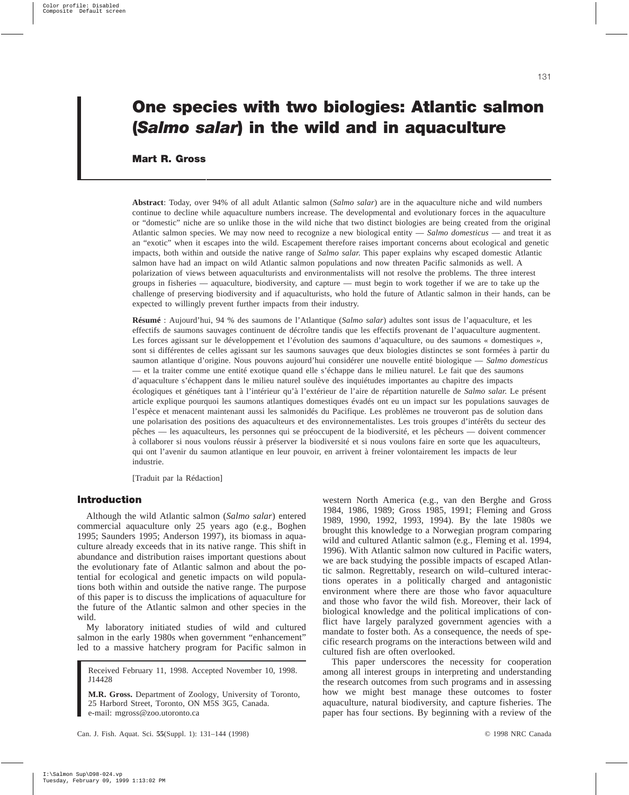# **One species with two biologies: Atlantic salmon (***Salmo salar***) in the wild and in aquaculture**

# **Mart R. Gross**

**Abstract**: Today, over 94% of all adult Atlantic salmon (*Salmo salar*) are in the aquaculture niche and wild numbers continue to decline while aquaculture numbers increase. The developmental and evolutionary forces in the aquaculture or "domestic" niche are so unlike those in the wild niche that two distinct biologies are being created from the original Atlantic salmon species. We may now need to recognize a new biological entity — *Salmo domesticus* — and treat it as an "exotic" when it escapes into the wild. Escapement therefore raises important concerns about ecological and genetic impacts, both within and outside the native range of *Salmo salar*. This paper explains why escaped domestic Atlantic salmon have had an impact on wild Atlantic salmon populations and now threaten Pacific salmonids as well. A polarization of views between aquaculturists and environmentalists will not resolve the problems. The three interest groups in fisheries — aquaculture, biodiversity, and capture — must begin to work together if we are to take up the challenge of preserving biodiversity and if aquaculturists, who hold the future of Atlantic salmon in their hands, can be expected to willingly prevent further impacts from their industry.

**Résumé** : Aujourd'hui, 94 % des saumons de l'Atlantique (*Salmo salar*) adultes sont issus de l'aquaculture, et les effectifs de saumons sauvages continuent de décroître tandis que les effectifs provenant de l'aquaculture augmentent. Les forces agissant sur le développement et l'évolution des saumons d'aquaculture, ou des saumons « domestiques », sont si différentes de celles agissant sur les saumons sauvages que deux biologies distinctes se sont formées à partir du saumon atlantique d'origine. Nous pouvons aujourd'hui considérer une nouvelle entité biologique — *Salmo domesticus* — et la traiter comme une entité exotique quand elle s'échappe dans le milieu naturel. Le fait que des saumons d'aquaculture s'échappent dans le milieu naturel soulève des inquiétudes importantes au chapitre des impacts écologiques et génétiques tant à l'intérieur qu'à l'extérieur de l'aire de répartition naturelle de *Salmo salar*. Le présent article explique pourquoi les saumons atlantiques domestiques évadés ont eu un impact sur les populations sauvages de l'espèce et menacent maintenant aussi les salmonidés du Pacifique. Les problèmes ne trouveront pas de solution dans une polarisation des positions des aquaculteurs et des environnementalistes. Les trois groupes d'intérêts du secteur des pêches — les aquaculteurs, les personnes qui se préoccupent de la biodiversité, et les pêcheurs — doivent commencer à collaborer si nous voulons réussir à préserver la biodiversité et si nous voulons faire en sorte que les aquaculteurs, qui ont l'avenir du saumon atlantique en leur pouvoir, en arrivent à freiner volontairement les impacts de leur industrie.

[Traduit par la Rédaction]

## **Introduction**

Although the wild Atlantic salmon (*Salmo salar*) entered commercial aquaculture only 25 years ago (e.g., Boghen 1995; Saunders 1995; Anderson 1997), its biomass in aquaculture already exceeds that in its native range. This shift in abundance and distribution raises important questions about the evolutionary fate of Atlantic salmon and about the potential for ecological and genetic impacts on wild populations both within and outside the native range. The purpose of this paper is to discuss the implications of aquaculture for the future of the Atlantic salmon and other species in the wild.

My laboratory initiated studies of wild and cultured salmon in the early 1980s when government "enhancement" led to a massive hatchery program for Pacific salmon in

Received February 11, 1998. Accepted November 10, 1998. J14428

**M.R. Gross.** Department of Zoology, University of Toronto, 25 Harbord Street, Toronto, ON M5S 3G5, Canada. e-mail: mgross@zoo.utoronto.ca

western North America (e.g., van den Berghe and Gross 1984, 1986, 1989; Gross 1985, 1991; Fleming and Gross 1989, 1990, 1992, 1993, 1994). By the late 1980s we brought this knowledge to a Norwegian program comparing wild and cultured Atlantic salmon (e.g., Fleming et al. 1994, 1996). With Atlantic salmon now cultured in Pacific waters, we are back studying the possible impacts of escaped Atlantic salmon. Regrettably, research on wild–cultured interactions operates in a politically charged and antagonistic environment where there are those who favor aquaculture and those who favor the wild fish. Moreover, their lack of biological knowledge and the political implications of conflict have largely paralyzed government agencies with a mandate to foster both. As a consequence, the needs of specific research programs on the interactions between wild and cultured fish are often overlooked.

This paper underscores the necessity for cooperation among all interest groups in interpreting and understanding the research outcomes from such programs and in assessing how we might best manage these outcomes to foster aquaculture, natural biodiversity, and capture fisheries. The paper has four sections. By beginning with a review of the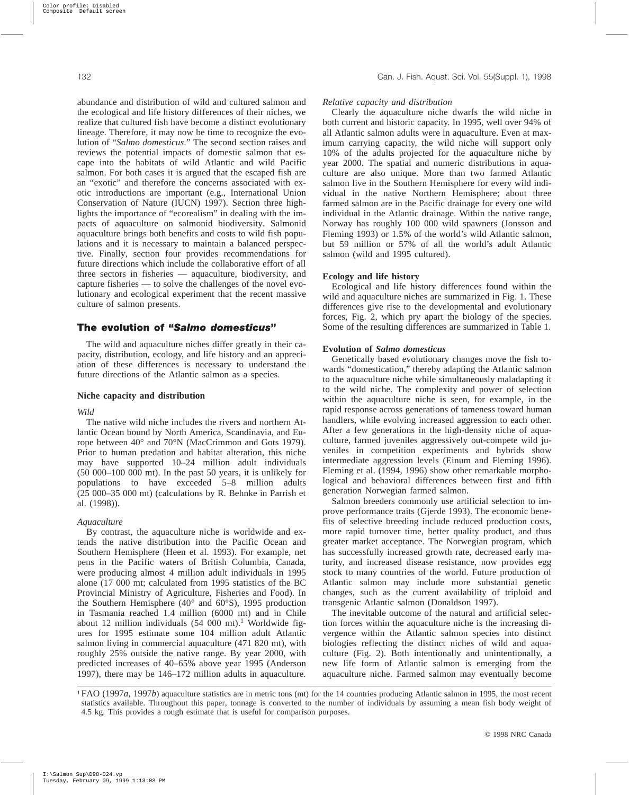abundance and distribution of wild and cultured salmon and the ecological and life history differences of their niches, we realize that cultured fish have become a distinct evolutionary lineage. Therefore, it may now be time to recognize the evolution of "*Salmo domesticus*." The second section raises and reviews the potential impacts of domestic salmon that escape into the habitats of wild Atlantic and wild Pacific salmon. For both cases it is argued that the escaped fish are an "exotic" and therefore the concerns associated with exotic introductions are important (e.g., International Union Conservation of Nature (IUCN) 1997). Section three highlights the importance of "ecorealism" in dealing with the impacts of aquaculture on salmonid biodiversity. Salmonid aquaculture brings both benefits and costs to wild fish populations and it is necessary to maintain a balanced perspective. Finally, section four provides recommendations for future directions which include the collaborative effort of all three sectors in fisheries — aquaculture, biodiversity, and capture fisheries — to solve the challenges of the novel evolutionary and ecological experiment that the recent massive culture of salmon presents.

# The evolution of "Salmo domesticus"

The wild and aquaculture niches differ greatly in their capacity, distribution, ecology, and life history and an appreciation of these differences is necessary to understand the future directions of the Atlantic salmon as a species.

#### **Niche capacity and distribution**

#### *Wild*

The native wild niche includes the rivers and northern Atlantic Ocean bound by North America, Scandinavia, and Europe between 40° and 70°N (MacCrimmon and Gots 1979). Prior to human predation and habitat alteration, this niche may have supported 10–24 million adult individuals (50 000–100 000 mt). In the past 50 years, it is unlikely for populations to have exceeded 5–8 million adults (25 000–35 000 mt) (calculations by R. Behnke in Parrish et al. (1998)).

#### *Aquaculture*

By contrast, the aquaculture niche is worldwide and extends the native distribution into the Pacific Ocean and Southern Hemisphere (Heen et al. 1993). For example, net pens in the Pacific waters of British Columbia, Canada, were producing almost 4 million adult individuals in 1995 alone (17 000 mt; calculated from 1995 statistics of the BC Provincial Ministry of Agriculture, Fisheries and Food). In the Southern Hemisphere (40° and 60°S), 1995 production in Tasmania reached 1.4 million (6000 mt) and in Chile about 12 million individuals  $(54, 000, \text{mt})$ . Worldwide figures for 1995 estimate some 104 million adult Atlantic salmon living in commercial aquaculture (471 820 mt), with roughly 25% outside the native range. By year 2000, with predicted increases of 40–65% above year 1995 (Anderson 1997), there may be 146–172 million adults in aquaculture.

#### *Relative capacity and distribution*

Clearly the aquaculture niche dwarfs the wild niche in both current and historic capacity. In 1995, well over 94% of all Atlantic salmon adults were in aquaculture. Even at maximum carrying capacity, the wild niche will support only 10% of the adults projected for the aquaculture niche by year 2000. The spatial and numeric distributions in aquaculture are also unique. More than two farmed Atlantic salmon live in the Southern Hemisphere for every wild individual in the native Northern Hemisphere; about three farmed salmon are in the Pacific drainage for every one wild individual in the Atlantic drainage. Within the native range, Norway has roughly 100 000 wild spawners (Jonsson and Fleming 1993) or 1.5% of the world's wild Atlantic salmon, but 59 million or 57% of all the world's adult Atlantic salmon (wild and 1995 cultured).

#### **Ecology and life history**

Ecological and life history differences found within the wild and aquaculture niches are summarized in Fig. 1. These differences give rise to the developmental and evolutionary forces, Fig. 2, which pry apart the biology of the species. Some of the resulting differences are summarized in Table 1.

#### **Evolution of** *Salmo domesticus*

Genetically based evolutionary changes move the fish towards "domestication," thereby adapting the Atlantic salmon to the aquaculture niche while simultaneously maladapting it to the wild niche. The complexity and power of selection within the aquaculture niche is seen, for example, in the rapid response across generations of tameness toward human handlers, while evolving increased aggression to each other. After a few generations in the high-density niche of aquaculture, farmed juveniles aggressively out-compete wild juveniles in competition experiments and hybrids show intermediate aggression levels (Einum and Fleming 1996). Fleming et al. (1994, 1996) show other remarkable morphological and behavioral differences between first and fifth generation Norwegian farmed salmon.

Salmon breeders commonly use artificial selection to improve performance traits (Gjerde 1993). The economic benefits of selective breeding include reduced production costs, more rapid turnover time, better quality product, and thus greater market acceptance. The Norwegian program, which has successfully increased growth rate, decreased early maturity, and increased disease resistance, now provides egg stock to many countries of the world. Future production of Atlantic salmon may include more substantial genetic changes, such as the current availability of triploid and transgenic Atlantic salmon (Donaldson 1997).

The inevitable outcome of the natural and artificial selection forces within the aquaculture niche is the increasing divergence within the Atlantic salmon species into distinct biologies reflecting the distinct niches of wild and aquaculture (Fig. 2). Both intentionally and unintentionally, a new life form of Atlantic salmon is emerging from the aquaculture niche. Farmed salmon may eventually become

<sup>1</sup> FAO (1997*a*, 1997*b*) aquaculture statistics are in metric tons (mt) for the 14 countries producing Atlantic salmon in 1995, the most recent statistics available. Throughout this paper, tonnage is converted to the number of individuals by assuming a mean fish body weight of 4.5 kg. This provides a rough estimate that is useful for comparison purposes.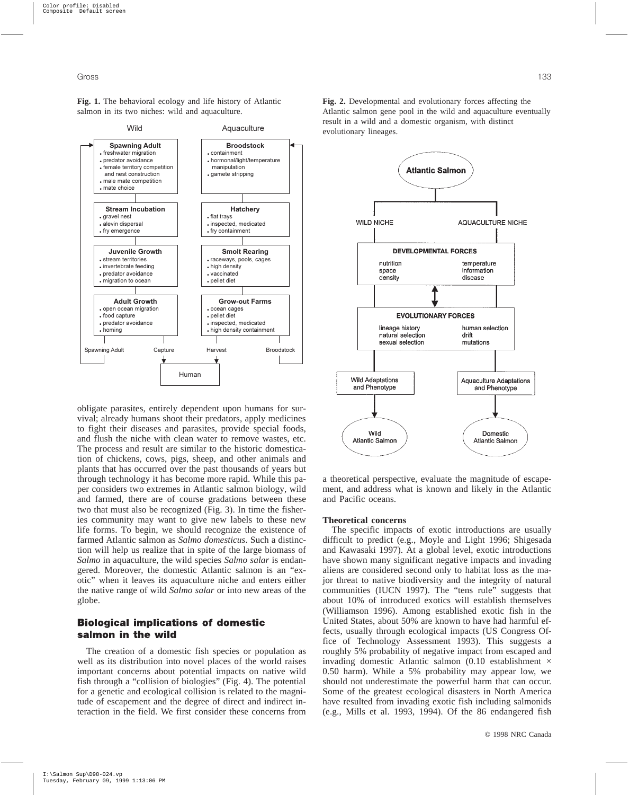**Fig. 1.** The behavioral ecology and life history of Atlantic salmon in its two niches: wild and aquaculture.



obligate parasites, entirely dependent upon humans for survival; already humans shoot their predators, apply medicines to fight their diseases and parasites, provide special foods, and flush the niche with clean water to remove wastes, etc. The process and result are similar to the historic domestication of chickens, cows, pigs, sheep, and other animals and plants that has occurred over the past thousands of years but through technology it has become more rapid. While this paper considers two extremes in Atlantic salmon biology, wild and farmed, there are of course gradations between these two that must also be recognized (Fig. 3). In time the fisheries community may want to give new labels to these new life forms. To begin, we should recognize the existence of farmed Atlantic salmon as *Salmo domesticus*. Such a distinction will help us realize that in spite of the large biomass of *Salmo* in aquaculture, the wild species *Salmo salar* is endangered. Moreover, the domestic Atlantic salmon is an "exotic" when it leaves its aquaculture niche and enters either the native range of wild *Salmo salar* or into new areas of the globe.

# **Biological implications of domestic** salmon in the wild

The creation of a domestic fish species or population as well as its distribution into novel places of the world raises important concerns about potential impacts on native wild fish through a "collision of biologies" (Fig. 4). The potential for a genetic and ecological collision is related to the magnitude of escapement and the degree of direct and indirect interaction in the field. We first consider these concerns from **Fig. 2.** Developmental and evolutionary forces affecting the Atlantic salmon gene pool in the wild and aquaculture eventually result in a wild and a domestic organism, with distinct evolutionary lineages.



a theoretical perspective, evaluate the magnitude of escapement, and address what is known and likely in the Atlantic and Pacific oceans.

### **Theoretical concerns**

The specific impacts of exotic introductions are usually difficult to predict (e.g., Moyle and Light 1996; Shigesada and Kawasaki 1997). At a global level, exotic introductions have shown many significant negative impacts and invading aliens are considered second only to habitat loss as the major threat to native biodiversity and the integrity of natural communities (IUCN 1997). The "tens rule" suggests that about 10% of introduced exotics will establish themselves (Williamson 1996). Among established exotic fish in the United States, about 50% are known to have had harmful effects, usually through ecological impacts (US Congress Office of Technology Assessment 1993). This suggests a roughly 5% probability of negative impact from escaped and invading domestic Atlantic salmon (0.10 establishment  $\times$ 0.50 harm). While a 5% probability may appear low, we should not underestimate the powerful harm that can occur. Some of the greatest ecological disasters in North America have resulted from invading exotic fish including salmonids (e.g., Mills et al. 1993, 1994). Of the 86 endangered fish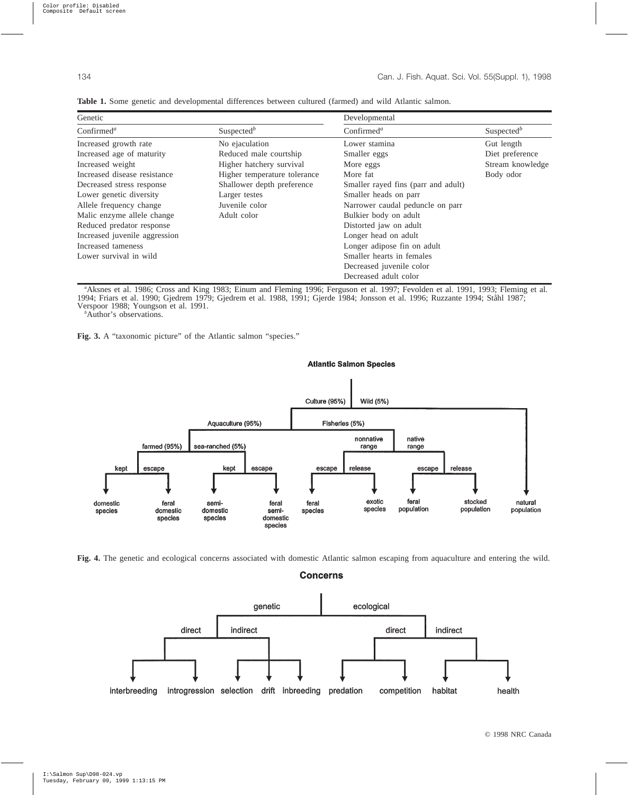| Genetic                                                 |                              | Developmental                       |                        |  |
|---------------------------------------------------------|------------------------------|-------------------------------------|------------------------|--|
| Confirmed <sup>a</sup>                                  | Suspected <sup>b</sup>       | Confirmed <sup>a</sup>              | Suspected <sup>b</sup> |  |
| Increased growth rate                                   | No ejaculation               | Lower stamina                       | Gut length             |  |
| Increased age of maturity                               | Reduced male courtship       | Smaller eggs                        | Diet preference        |  |
| Increased weight<br>Higher hatchery survival            |                              | More eggs                           | Stream knowledge       |  |
| Increased disease resistance                            | Higher temperature tolerance | More fat                            | Body odor              |  |
| Shallower depth preference<br>Decreased stress response |                              | Smaller rayed fins (parr and adult) |                        |  |
| Lower genetic diversity<br>Larger testes                |                              | Smaller heads on parr               |                        |  |
| Allele frequency change<br>Juvenile color               |                              | Narrower caudal peduncle on parr    |                        |  |
| Malic enzyme allele change<br>Adult color               |                              | Bulkier body on adult               |                        |  |
| Reduced predator response                               |                              | Distorted jaw on adult              |                        |  |
| Increased juvenile aggression                           |                              | Longer head on adult                |                        |  |
| Increased tameness                                      |                              | Longer adipose fin on adult         |                        |  |
| Lower survival in wild                                  |                              | Smaller hearts in females           |                        |  |
|                                                         |                              | Decreased juvenile color            |                        |  |
|                                                         |                              | Decreased adult color               |                        |  |

**Table 1.** Some genetic and developmental differences between cultured (farmed) and wild Atlantic salmon.

*a* Aksnes et al. 1986; Cross and King 1983; Einum and Fleming 1996; Ferguson et al. 1997; Fevolden et al. 1991, 1993; Fleming et al. 1994; Friars et al. 1990; Gjedrem 1979; Gjedrem et al. 1988, 1991; Gjerde 1984; Jonsson et al. 1996; Ruzzante 1994; Ståhl 1987; Verspoor 1988; Youngson et al. 1991. *<sup>b</sup>*

<sup>b</sup>Author's observations.





**Fig. 4.** The genetic and ecological concerns associated with domestic Atlantic salmon escaping from aquaculture and entering the wild.

**Concerns** 

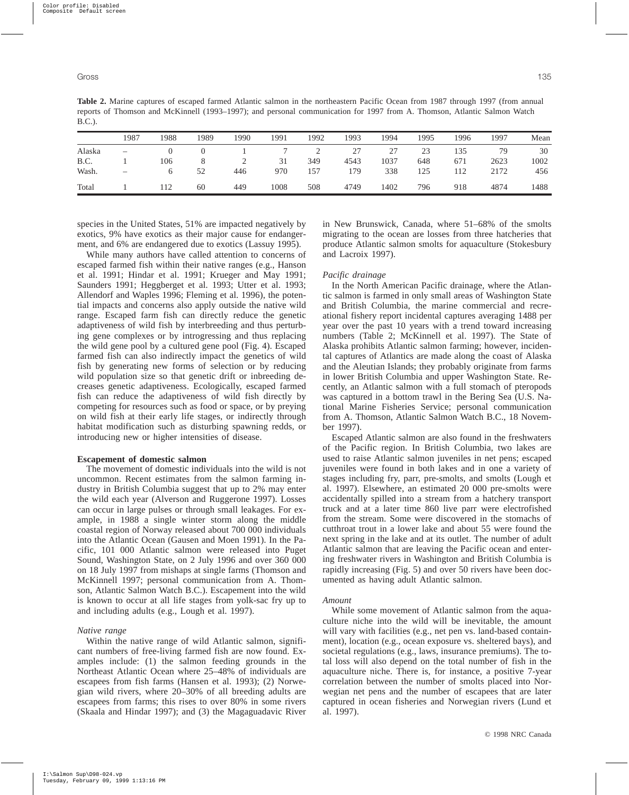**Table 2.** Marine captures of escaped farmed Atlantic salmon in the northeastern Pacific Ocean from 1987 through 1997 (from annual reports of Thomson and McKinnell (1993–1997); and personal communication for 1997 from A. Thomson, Atlantic Salmon Watch B.C.).

|        | 1987                     | 1988 | 1989 | 1990 | 1991 | 1992 | 1993 | 1994 | 1995 | 1996 | 1997 | Mean |
|--------|--------------------------|------|------|------|------|------|------|------|------|------|------|------|
| Alaska | $\overline{\phantom{m}}$ |      |      |      |      |      | 27   | 27   | 23   | 135  | 79   | 30   |
| B.C.   |                          | 106  |      |      | 31   | 349  | 4543 | 1037 | 648  | 671  | 2623 | 1002 |
| Wash.  | $\overline{\phantom{0}}$ |      | 52   | 446  | 970  | 157  | 179  | 338  | 125  | 112  | 2172 | 456  |
| Total  |                          | 112  | 60   | 449  | 1008 | 508  | 4749 | 1402 | 796  | 918  | 4874 | 1488 |

species in the United States, 51% are impacted negatively by exotics, 9% have exotics as their major cause for endangerment, and 6% are endangered due to exotics (Lassuy 1995).

While many authors have called attention to concerns of escaped farmed fish within their native ranges (e.g., Hanson et al. 1991; Hindar et al. 1991; Krueger and May 1991; Saunders 1991; Heggberget et al. 1993; Utter et al. 1993; Allendorf and Waples 1996; Fleming et al. 1996), the potential impacts and concerns also apply outside the native wild range. Escaped farm fish can directly reduce the genetic adaptiveness of wild fish by interbreeding and thus perturbing gene complexes or by introgressing and thus replacing the wild gene pool by a cultured gene pool (Fig. 4). Escaped farmed fish can also indirectly impact the genetics of wild fish by generating new forms of selection or by reducing wild population size so that genetic drift or inbreeding decreases genetic adaptiveness. Ecologically, escaped farmed fish can reduce the adaptiveness of wild fish directly by competing for resources such as food or space, or by preying on wild fish at their early life stages, or indirectly through habitat modification such as disturbing spawning redds, or introducing new or higher intensities of disease.

#### **Escapement of domestic salmon**

The movement of domestic individuals into the wild is not uncommon. Recent estimates from the salmon farming industry in British Columbia suggest that up to 2% may enter the wild each year (Alverson and Ruggerone 1997). Losses can occur in large pulses or through small leakages. For example, in 1988 a single winter storm along the middle coastal region of Norway released about 700 000 individuals into the Atlantic Ocean (Gausen and Moen 1991). In the Pacific, 101 000 Atlantic salmon were released into Puget Sound, Washington State, on 2 July 1996 and over 360 000 on 18 July 1997 from mishaps at single farms (Thomson and McKinnell 1997; personal communication from A. Thomson, Atlantic Salmon Watch B.C.). Escapement into the wild is known to occur at all life stages from yolk-sac fry up to and including adults (e.g., Lough et al. 1997).

#### *Native range*

Within the native range of wild Atlantic salmon, significant numbers of free-living farmed fish are now found. Examples include: (1) the salmon feeding grounds in the Northeast Atlantic Ocean where 25–48% of individuals are escapees from fish farms (Hansen et al. 1993); (2) Norwegian wild rivers, where 20–30% of all breeding adults are escapees from farms; this rises to over 80% in some rivers (Skaala and Hindar 1997); and (3) the Magaguadavic River in New Brunswick, Canada, where 51–68% of the smolts migrating to the ocean are losses from three hatcheries that produce Atlantic salmon smolts for aquaculture (Stokesbury and Lacroix 1997).

#### *Pacific drainage*

In the North American Pacific drainage, where the Atlantic salmon is farmed in only small areas of Washington State and British Columbia, the marine commercial and recreational fishery report incidental captures averaging 1488 per year over the past 10 years with a trend toward increasing numbers (Table 2; McKinnell et al. 1997). The State of Alaska prohibits Atlantic salmon farming; however, incidental captures of Atlantics are made along the coast of Alaska and the Aleutian Islands; they probably originate from farms in lower British Columbia and upper Washington State. Recently, an Atlantic salmon with a full stomach of pteropods was captured in a bottom trawl in the Bering Sea (U.S. National Marine Fisheries Service; personal communication from A. Thomson, Atlantic Salmon Watch B.C., 18 November 1997).

Escaped Atlantic salmon are also found in the freshwaters of the Pacific region. In British Columbia, two lakes are used to raise Atlantic salmon juveniles in net pens; escaped juveniles were found in both lakes and in one a variety of stages including fry, parr, pre-smolts, and smolts (Lough et al. 1997). Elsewhere, an estimated 20 000 pre-smolts were accidentally spilled into a stream from a hatchery transport truck and at a later time 860 live parr were electrofished from the stream. Some were discovered in the stomachs of cutthroat trout in a lower lake and about 55 were found the next spring in the lake and at its outlet. The number of adult Atlantic salmon that are leaving the Pacific ocean and entering freshwater rivers in Washington and British Columbia is rapidly increasing (Fig. 5) and over 50 rivers have been documented as having adult Atlantic salmon.

#### *Amount*

While some movement of Atlantic salmon from the aquaculture niche into the wild will be inevitable, the amount will vary with facilities (e.g., net pen vs. land-based containment), location (e.g., ocean exposure vs. sheltered bays), and societal regulations (e.g., laws, insurance premiums). The total loss will also depend on the total number of fish in the aquaculture niche. There is, for instance, a positive 7-year correlation between the number of smolts placed into Norwegian net pens and the number of escapees that are later captured in ocean fisheries and Norwegian rivers (Lund et al. 1997).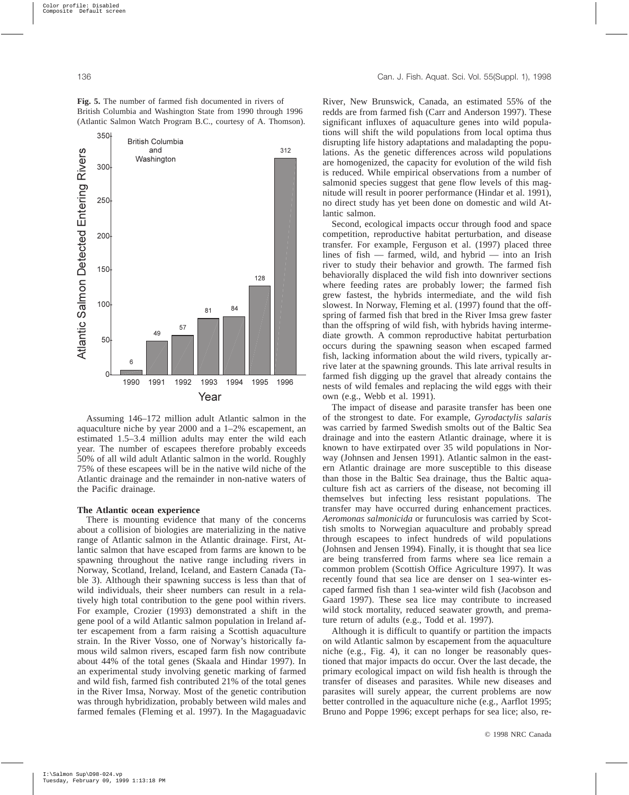**Fig. 5.** The number of farmed fish documented in rivers of British Columbia and Washington State from 1990 through 1996 (Atlantic Salmon Watch Program B.C., courtesy of A. Thomson).



Assuming 146–172 million adult Atlantic salmon in the aquaculture niche by year 2000 and a 1–2% escapement, an estimated 1.5–3.4 million adults may enter the wild each year. The number of escapees therefore probably exceeds 50% of all wild adult Atlantic salmon in the world. Roughly 75% of these escapees will be in the native wild niche of the Atlantic drainage and the remainder in non-native waters of the Pacific drainage.

#### **The Atlantic ocean experience**

There is mounting evidence that many of the concerns about a collision of biologies are materializing in the native range of Atlantic salmon in the Atlantic drainage. First, Atlantic salmon that have escaped from farms are known to be spawning throughout the native range including rivers in Norway, Scotland, Ireland, Iceland, and Eastern Canada (Table 3). Although their spawning success is less than that of wild individuals, their sheer numbers can result in a relatively high total contribution to the gene pool within rivers. For example, Crozier (1993) demonstrated a shift in the gene pool of a wild Atlantic salmon population in Ireland after escapement from a farm raising a Scottish aquaculture strain. In the River Vosso, one of Norway's historically famous wild salmon rivers, escaped farm fish now contribute about 44% of the total genes (Skaala and Hindar 1997). In an experimental study involving genetic marking of farmed and wild fish, farmed fish contributed 21% of the total genes in the River Imsa, Norway. Most of the genetic contribution was through hybridization, probably between wild males and farmed females (Fleming et al. 1997). In the Magaguadavic River, New Brunswick, Canada, an estimated 55% of the redds are from farmed fish (Carr and Anderson 1997). These significant influxes of aquaculture genes into wild populations will shift the wild populations from local optima thus disrupting life history adaptations and maladapting the populations. As the genetic differences across wild populations are homogenized, the capacity for evolution of the wild fish is reduced. While empirical observations from a number of salmonid species suggest that gene flow levels of this magnitude will result in poorer performance (Hindar et al. 1991), no direct study has yet been done on domestic and wild Atlantic salmon.

Second, ecological impacts occur through food and space competition, reproductive habitat perturbation, and disease transfer. For example, Ferguson et al. (1997) placed three lines of fish — farmed, wild, and hybrid — into an Irish river to study their behavior and growth. The farmed fish behaviorally displaced the wild fish into downriver sections where feeding rates are probably lower; the farmed fish grew fastest, the hybrids intermediate, and the wild fish slowest. In Norway, Fleming et al. (1997) found that the offspring of farmed fish that bred in the River Imsa grew faster than the offspring of wild fish, with hybrids having intermediate growth. A common reproductive habitat perturbation occurs during the spawning season when escaped farmed fish, lacking information about the wild rivers, typically arrive later at the spawning grounds. This late arrival results in farmed fish digging up the gravel that already contains the nests of wild females and replacing the wild eggs with their own (e.g., Webb et al. 1991).

The impact of disease and parasite transfer has been one of the strongest to date. For example, *Gyrodactylis salaris* was carried by farmed Swedish smolts out of the Baltic Sea drainage and into the eastern Atlantic drainage, where it is known to have extirpated over 35 wild populations in Norway (Johnsen and Jensen 1991). Atlantic salmon in the eastern Atlantic drainage are more susceptible to this disease than those in the Baltic Sea drainage, thus the Baltic aquaculture fish act as carriers of the disease, not becoming ill themselves but infecting less resistant populations. The transfer may have occurred during enhancement practices. *Aeromonas salmonicida* or furunculosis was carried by Scottish smolts to Norwegian aquaculture and probably spread through escapees to infect hundreds of wild populations (Johnsen and Jensen 1994). Finally, it is thought that sea lice are being transferred from farms where sea lice remain a common problem (Scottish Office Agriculture 1997). It was recently found that sea lice are denser on 1 sea-winter escaped farmed fish than 1 sea-winter wild fish (Jacobson and Gaard 1997). These sea lice may contribute to increased wild stock mortality, reduced seawater growth, and premature return of adults (e.g., Todd et al. 1997).

Although it is difficult to quantify or partition the impacts on wild Atlantic salmon by escapement from the aquaculture niche (e.g., Fig. 4), it can no longer be reasonably questioned that major impacts do occur. Over the last decade, the primary ecological impact on wild fish health is through the transfer of diseases and parasites. While new diseases and parasites will surely appear, the current problems are now better controlled in the aquaculture niche (e.g., Aarflot 1995; Bruno and Poppe 1996; except perhaps for sea lice; also, re-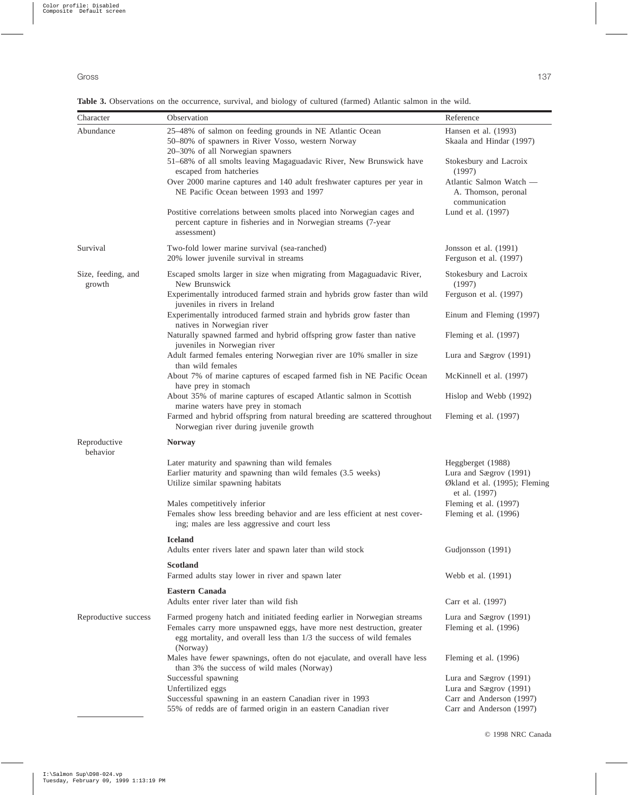**Table 3.** Observations on the occurrence, survival, and biology of cultured (farmed) Atlantic salmon in the wild.

| Character                    | Observation                                                                                                                                                                                                                           | Reference                                                                                     |
|------------------------------|---------------------------------------------------------------------------------------------------------------------------------------------------------------------------------------------------------------------------------------|-----------------------------------------------------------------------------------------------|
| Abundance                    | 25-48% of salmon on feeding grounds in NE Atlantic Ocean                                                                                                                                                                              | Hansen et al. (1993)                                                                          |
|                              | 50-80% of spawners in River Vosso, western Norway<br>20-30% of all Norwegian spawners                                                                                                                                                 | Skaala and Hindar (1997)                                                                      |
|                              | 51-68% of all smolts leaving Magaguadavic River, New Brunswick have<br>escaped from hatcheries                                                                                                                                        | Stokesbury and Lacroix<br>(1997)                                                              |
|                              | Over 2000 marine captures and 140 adult freshwater captures per year in<br>NE Pacific Ocean between 1993 and 1997                                                                                                                     | Atlantic Salmon Watch -<br>A. Thomson, peronal<br>communication                               |
|                              | Postitive correlations between smolts placed into Norwegian cages and<br>percent capture in fisheries and in Norwegian streams (7-year<br>assessment)                                                                                 | Lund et al. (1997)                                                                            |
| Survival                     | Two-fold lower marine survival (sea-ranched)<br>20% lower juvenile survival in streams                                                                                                                                                | Jonsson et al. (1991)<br>Ferguson et al. (1997)                                               |
| Size, feeding, and<br>growth | Escaped smolts larger in size when migrating from Magaguadavic River,<br>New Brunswick                                                                                                                                                | Stokesbury and Lacroix<br>(1997)                                                              |
|                              | Experimentally introduced farmed strain and hybrids grow faster than wild<br>juveniles in rivers in Ireland                                                                                                                           | Ferguson et al. (1997)                                                                        |
|                              | Experimentally introduced farmed strain and hybrids grow faster than<br>natives in Norwegian river                                                                                                                                    | Einum and Fleming (1997)                                                                      |
|                              | Naturally spawned farmed and hybrid offspring grow faster than native<br>juveniles in Norwegian river                                                                                                                                 | Fleming et al. (1997)                                                                         |
|                              | Adult farmed females entering Norwegian river are 10% smaller in size<br>than wild females                                                                                                                                            | Lura and Sægrov (1991)                                                                        |
|                              | About 7% of marine captures of escaped farmed fish in NE Pacific Ocean<br>have prey in stomach                                                                                                                                        | McKinnell et al. (1997)                                                                       |
|                              | About 35% of marine captures of escaped Atlantic salmon in Scottish<br>marine waters have prey in stomach                                                                                                                             | Hislop and Webb (1992)                                                                        |
|                              | Farmed and hybrid offspring from natural breeding are scattered throughout<br>Norwegian river during juvenile growth                                                                                                                  | Fleming et al. (1997)                                                                         |
| Reproductive<br>behavior     | <b>Norway</b>                                                                                                                                                                                                                         |                                                                                               |
|                              | Later maturity and spawning than wild females<br>Earlier maturity and spawning than wild females (3.5 weeks)<br>Utilize similar spawning habitats                                                                                     | Heggberget (1988)<br>Lura and Sægrov (1991)<br>Økland et al. (1995); Fleming<br>et al. (1997) |
|                              | Males competitively inferior<br>Females show less breeding behavior and are less efficient at nest cover-<br>ing; males are less aggressive and court less                                                                            | Fleming et al. (1997)<br>Fleming et al. (1996)                                                |
|                              | <b>Iceland</b><br>Adults enter rivers later and spawn later than wild stock                                                                                                                                                           | Gudjonsson (1991)                                                                             |
|                              | <b>Scotland</b><br>Farmed adults stay lower in river and spawn later                                                                                                                                                                  | Webb et al. (1991)                                                                            |
|                              | Eastern Canada<br>Adults enter river later than wild fish                                                                                                                                                                             | Carr et al. (1997)                                                                            |
| Reproductive success         | Farmed progeny hatch and initiated feeding earlier in Norwegian streams<br>Females carry more unspawned eggs, have more nest destruction, greater<br>egg mortality, and overall less than 1/3 the success of wild females<br>(Norway) | Lura and Sægrov (1991)<br>Fleming et al. (1996)                                               |
|                              | Males have fewer spawnings, often do not ejaculate, and overall have less<br>than 3% the success of wild males (Norway)                                                                                                               | Fleming et al. (1996)                                                                         |
|                              | Successful spawning                                                                                                                                                                                                                   | Lura and Sægrov (1991)                                                                        |
|                              | Unfertilized eggs                                                                                                                                                                                                                     | Lura and Sægrov (1991)                                                                        |
|                              | Successful spawning in an eastern Canadian river in 1993<br>55% of redds are of farmed origin in an eastern Canadian river                                                                                                            | Carr and Anderson (1997)<br>Carr and Anderson (1997)                                          |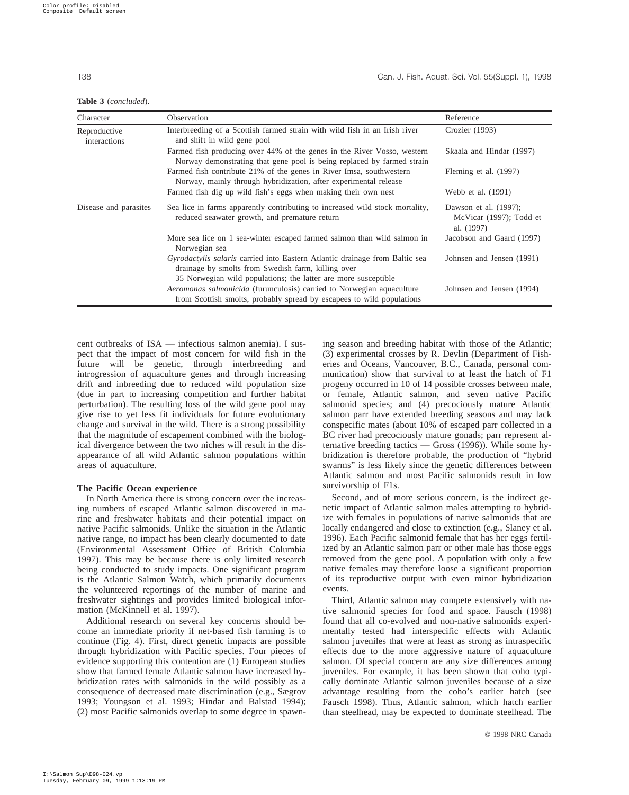|  |  | <b>Table 3</b> (concluded). |  |
|--|--|-----------------------------|--|
|--|--|-----------------------------|--|

| Character                    | Observation                                                                                                                                           | Reference                                                      |
|------------------------------|-------------------------------------------------------------------------------------------------------------------------------------------------------|----------------------------------------------------------------|
| Reproductive<br>interactions | Interbreeding of a Scottish farmed strain with wild fish in an Irish river<br>and shift in wild gene pool                                             | Crozier (1993)                                                 |
|                              | Farmed fish producing over 44% of the genes in the River Vosso, western<br>Norway demonstrating that gene pool is being replaced by farmed strain     | Skaala and Hindar (1997)                                       |
|                              | Farmed fish contribute 21% of the genes in River Imsa, southwestern<br>Norway, mainly through hybridization, after experimental release               | Fleming et al. (1997)                                          |
|                              | Farmed fish dig up wild fish's eggs when making their own nest                                                                                        | Webb et al. (1991)                                             |
| Disease and parasites        | Sea lice in farms apparently contributing to increased wild stock mortality,<br>reduced seawater growth, and premature return                         | Dawson et al. (1997);<br>McVicar (1997); Todd et<br>al. (1997) |
|                              | More sea lice on 1 sea-winter escaped farmed salmon than wild salmon in<br>Norwegian sea                                                              | Jacobson and Gaard (1997)                                      |
|                              | <i>Gyrodactylis salaris</i> carried into Eastern Atlantic drainage from Baltic sea<br>drainage by smolts from Swedish farm, killing over              | Johnsen and Jensen (1991)                                      |
|                              | 35 Norwegian wild populations; the latter are more susceptible                                                                                        |                                                                |
|                              | <i>Aeromonas salmonicida</i> (furunculosis) carried to Norwegian aquaculture<br>from Scottish smolts, probably spread by escapees to wild populations | Johnsen and Jensen (1994)                                      |

cent outbreaks of ISA — infectious salmon anemia). I suspect that the impact of most concern for wild fish in the future will be genetic, through interbreeding and introgression of aquaculture genes and through increasing drift and inbreeding due to reduced wild population size (due in part to increasing competition and further habitat perturbation). The resulting loss of the wild gene pool may give rise to yet less fit individuals for future evolutionary change and survival in the wild. There is a strong possibility that the magnitude of escapement combined with the biological divergence between the two niches will result in the disappearance of all wild Atlantic salmon populations within areas of aquaculture.

#### **The Pacific Ocean experience**

In North America there is strong concern over the increasing numbers of escaped Atlantic salmon discovered in marine and freshwater habitats and their potential impact on native Pacific salmonids. Unlike the situation in the Atlantic native range, no impact has been clearly documented to date (Environmental Assessment Office of British Columbia 1997). This may be because there is only limited research being conducted to study impacts. One significant program is the Atlantic Salmon Watch, which primarily documents the volunteered reportings of the number of marine and freshwater sightings and provides limited biological information (McKinnell et al. 1997).

Additional research on several key concerns should become an immediate priority if net-based fish farming is to continue (Fig. 4). First, direct genetic impacts are possible through hybridization with Pacific species. Four pieces of evidence supporting this contention are (1) European studies show that farmed female Atlantic salmon have increased hybridization rates with salmonids in the wild possibly as a consequence of decreased mate discrimination (e.g., Sægrov 1993; Youngson et al. 1993; Hindar and Balstad 1994); (2) most Pacific salmonids overlap to some degree in spawning season and breeding habitat with those of the Atlantic; (3) experimental crosses by R. Devlin (Department of Fisheries and Oceans, Vancouver, B.C., Canada, personal communication) show that survival to at least the hatch of F1 progeny occurred in 10 of 14 possible crosses between male, or female, Atlantic salmon, and seven native Pacific salmonid species; and (4) precociously mature Atlantic salmon parr have extended breeding seasons and may lack conspecific mates (about 10% of escaped parr collected in a BC river had precociously mature gonads; parr represent alternative breeding tactics — Gross (1996)). While some hybridization is therefore probable, the production of "hybrid swarms" is less likely since the genetic differences between Atlantic salmon and most Pacific salmonids result in low survivorship of F1s.

Second, and of more serious concern, is the indirect genetic impact of Atlantic salmon males attempting to hybridize with females in populations of native salmonids that are locally endangered and close to extinction (e.g., Slaney et al. 1996). Each Pacific salmonid female that has her eggs fertilized by an Atlantic salmon parr or other male has those eggs removed from the gene pool. A population with only a few native females may therefore loose a significant proportion of its reproductive output with even minor hybridization events.

Third, Atlantic salmon may compete extensively with native salmonid species for food and space. Fausch (1998) found that all co-evolved and non-native salmonids experimentally tested had interspecific effects with Atlantic salmon juveniles that were at least as strong as intraspecific effects due to the more aggressive nature of aquaculture salmon. Of special concern are any size differences among juveniles. For example, it has been shown that coho typically dominate Atlantic salmon juveniles because of a size advantage resulting from the coho's earlier hatch (see Fausch 1998). Thus, Atlantic salmon, which hatch earlier than steelhead, may be expected to dominate steelhead. The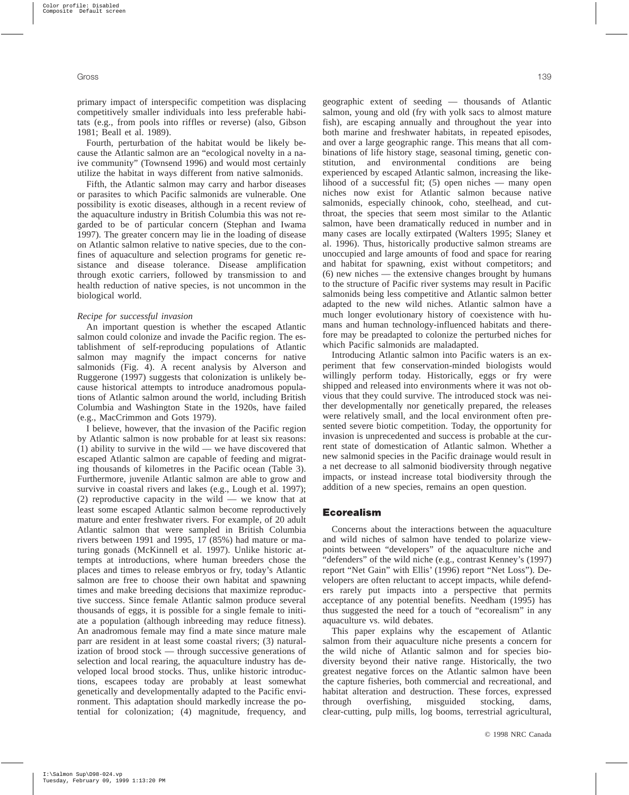primary impact of interspecific competition was displacing competitively smaller individuals into less preferable habitats (e.g., from pools into riffles or reverse) (also, Gibson 1981; Beall et al. 1989).

Fourth, perturbation of the habitat would be likely because the Atlantic salmon are an "ecological novelty in a naive community" (Townsend 1996) and would most certainly utilize the habitat in ways different from native salmonids.

Fifth, the Atlantic salmon may carry and harbor diseases or parasites to which Pacific salmonids are vulnerable. One possibility is exotic diseases, although in a recent review of the aquaculture industry in British Columbia this was not regarded to be of particular concern (Stephan and Iwama 1997). The greater concern may lie in the loading of disease on Atlantic salmon relative to native species, due to the confines of aquaculture and selection programs for genetic resistance and disease tolerance. Disease amplification through exotic carriers, followed by transmission to and health reduction of native species, is not uncommon in the biological world.

#### *Recipe for successful invasion*

An important question is whether the escaped Atlantic salmon could colonize and invade the Pacific region. The establishment of self-reproducing populations of Atlantic salmon may magnify the impact concerns for native salmonids (Fig. 4). A recent analysis by Alverson and Ruggerone (1997) suggests that colonization is unlikely because historical attempts to introduce anadromous populations of Atlantic salmon around the world, including British Columbia and Washington State in the 1920s, have failed (e.g., MacCrimmon and Gots 1979).

I believe, however, that the invasion of the Pacific region by Atlantic salmon is now probable for at least six reasons: (1) ability to survive in the wild — we have discovered that escaped Atlantic salmon are capable of feeding and migrating thousands of kilometres in the Pacific ocean (Table 3). Furthermore, juvenile Atlantic salmon are able to grow and survive in coastal rivers and lakes (e.g., Lough et al. 1997); (2) reproductive capacity in the wild — we know that at least some escaped Atlantic salmon become reproductively mature and enter freshwater rivers. For example, of 20 adult Atlantic salmon that were sampled in British Columbia rivers between 1991 and 1995, 17 (85%) had mature or maturing gonads (McKinnell et al. 1997). Unlike historic attempts at introductions, where human breeders chose the places and times to release embryos or fry, today's Atlantic salmon are free to choose their own habitat and spawning times and make breeding decisions that maximize reproductive success. Since female Atlantic salmon produce several thousands of eggs, it is possible for a single female to initiate a population (although inbreeding may reduce fitness). An anadromous female may find a mate since mature male parr are resident in at least some coastal rivers; (3) naturalization of brood stock — through successive generations of selection and local rearing, the aquaculture industry has developed local brood stocks. Thus, unlike historic introductions, escapees today are probably at least somewhat genetically and developmentally adapted to the Pacific environment. This adaptation should markedly increase the potential for colonization; (4) magnitude, frequency, and

geographic extent of seeding — thousands of Atlantic salmon, young and old (fry with yolk sacs to almost mature fish), are escaping annually and throughout the year into both marine and freshwater habitats, in repeated episodes, and over a large geographic range. This means that all combinations of life history stage, seasonal timing, genetic constitution, and environmental conditions are being experienced by escaped Atlantic salmon, increasing the likelihood of a successful fit; (5) open niches — many open niches now exist for Atlantic salmon because native salmonids, especially chinook, coho, steelhead, and cutthroat, the species that seem most similar to the Atlantic salmon, have been dramatically reduced in number and in many cases are locally extirpated (Walters 1995; Slaney et al. 1996). Thus, historically productive salmon streams are unoccupied and large amounts of food and space for rearing and habitat for spawning, exist without competitors; and (6) new niches — the extensive changes brought by humans to the structure of Pacific river systems may result in Pacific salmonids being less competitive and Atlantic salmon better adapted to the new wild niches. Atlantic salmon have a much longer evolutionary history of coexistence with humans and human technology-influenced habitats and therefore may be preadapted to colonize the perturbed niches for which Pacific salmonids are maladapted.

Introducing Atlantic salmon into Pacific waters is an experiment that few conservation-minded biologists would willingly perform today. Historically, eggs or fry were shipped and released into environments where it was not obvious that they could survive. The introduced stock was neither developmentally nor genetically prepared, the releases were relatively small, and the local environment often presented severe biotic competition. Today, the opportunity for invasion is unprecedented and success is probable at the current state of domestication of Atlantic salmon. Whether a new salmonid species in the Pacific drainage would result in a net decrease to all salmonid biodiversity through negative impacts, or instead increase total biodiversity through the addition of a new species, remains an open question.

## **Ecorealism**

Concerns about the interactions between the aquaculture and wild niches of salmon have tended to polarize viewpoints between "developers" of the aquaculture niche and "defenders" of the wild niche (e.g., contrast Kenney's (1997) report "Net Gain" with Ellis' (1996) report "Net Loss"). Developers are often reluctant to accept impacts, while defenders rarely put impacts into a perspective that permits acceptance of any potential benefits. Needham (1995) has thus suggested the need for a touch of "ecorealism" in any aquaculture vs. wild debates.

This paper explains why the escapement of Atlantic salmon from their aquaculture niche presents a concern for the wild niche of Atlantic salmon and for species biodiversity beyond their native range. Historically, the two greatest negative forces on the Atlantic salmon have been the capture fisheries, both commercial and recreational, and habitat alteration and destruction. These forces, expressed through overfishing, misguided stocking, dams, clear-cutting, pulp mills, log booms, terrestrial agricultural,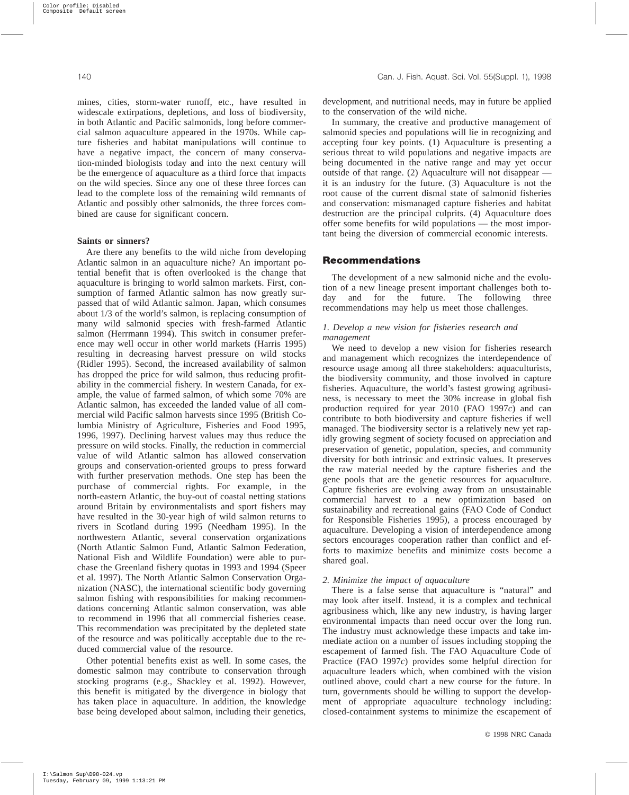mines, cities, storm-water runoff, etc., have resulted in widescale extirpations, depletions, and loss of biodiversity, in both Atlantic and Pacific salmonids, long before commercial salmon aquaculture appeared in the 1970s. While capture fisheries and habitat manipulations will continue to have a negative impact, the concern of many conservation-minded biologists today and into the next century will be the emergence of aquaculture as a third force that impacts on the wild species. Since any one of these three forces can lead to the complete loss of the remaining wild remnants of Atlantic and possibly other salmonids, the three forces combined are cause for significant concern.

#### **Saints or sinners?**

Are there any benefits to the wild niche from developing Atlantic salmon in an aquaculture niche? An important potential benefit that is often overlooked is the change that aquaculture is bringing to world salmon markets. First, consumption of farmed Atlantic salmon has now greatly surpassed that of wild Atlantic salmon. Japan, which consumes about 1/3 of the world's salmon, is replacing consumption of many wild salmonid species with fresh-farmed Atlantic salmon (Herrmann 1994). This switch in consumer preference may well occur in other world markets (Harris 1995) resulting in decreasing harvest pressure on wild stocks (Ridler 1995). Second, the increased availability of salmon has dropped the price for wild salmon, thus reducing profitability in the commercial fishery. In western Canada, for example, the value of farmed salmon, of which some 70% are Atlantic salmon, has exceeded the landed value of all commercial wild Pacific salmon harvests since 1995 (British Columbia Ministry of Agriculture, Fisheries and Food 1995, 1996, 1997). Declining harvest values may thus reduce the pressure on wild stocks. Finally, the reduction in commercial value of wild Atlantic salmon has allowed conservation groups and conservation-oriented groups to press forward with further preservation methods. One step has been the purchase of commercial rights. For example, in the north-eastern Atlantic, the buy-out of coastal netting stations around Britain by environmentalists and sport fishers may have resulted in the 30-year high of wild salmon returns to rivers in Scotland during 1995 (Needham 1995). In the northwestern Atlantic, several conservation organizations (North Atlantic Salmon Fund, Atlantic Salmon Federation, National Fish and Wildlife Foundation) were able to purchase the Greenland fishery quotas in 1993 and 1994 (Speer et al. 1997). The North Atlantic Salmon Conservation Organization (NASC), the international scientific body governing salmon fishing with responsibilities for making recommendations concerning Atlantic salmon conservation, was able to recommend in 1996 that all commercial fisheries cease. This recommendation was precipitated by the depleted state of the resource and was politically acceptable due to the reduced commercial value of the resource.

Other potential benefits exist as well. In some cases, the domestic salmon may contribute to conservation through stocking programs (e.g., Shackley et al. 1992). However, this benefit is mitigated by the divergence in biology that has taken place in aquaculture. In addition, the knowledge base being developed about salmon, including their genetics, development, and nutritional needs, may in future be applied to the conservation of the wild niche.

In summary, the creative and productive management of salmonid species and populations will lie in recognizing and accepting four key points. (1) Aquaculture is presenting a serious threat to wild populations and negative impacts are being documented in the native range and may yet occur outside of that range. (2) Aquaculture will not disappear it is an industry for the future. (3) Aquaculture is not the root cause of the current dismal state of salmonid fisheries and conservation: mismanaged capture fisheries and habitat destruction are the principal culprits. (4) Aquaculture does offer some benefits for wild populations — the most important being the diversion of commercial economic interests.

# **Recommendations**

The development of a new salmonid niche and the evolution of a new lineage present important challenges both today and for the future. The following three recommendations may help us meet those challenges.

## *1. Develop a new vision for fisheries research and management*

We need to develop a new vision for fisheries research and management which recognizes the interdependence of resource usage among all three stakeholders: aquaculturists, the biodiversity community, and those involved in capture fisheries. Aquaculture, the world's fastest growing agribusiness, is necessary to meet the 30% increase in global fish production required for year 2010 (FAO 1997*c*) and can contribute to both biodiversity and capture fisheries if well managed. The biodiversity sector is a relatively new yet rapidly growing segment of society focused on appreciation and preservation of genetic, population, species, and community diversity for both intrinsic and extrinsic values. It preserves the raw material needed by the capture fisheries and the gene pools that are the genetic resources for aquaculture. Capture fisheries are evolving away from an unsustainable commercial harvest to a new optimization based on sustainability and recreational gains (FAO Code of Conduct for Responsible Fisheries 1995), a process encouraged by aquaculture. Developing a vision of interdependence among sectors encourages cooperation rather than conflict and efforts to maximize benefits and minimize costs become a shared goal.

# *2. Minimize the impact of aquaculture*

There is a false sense that aquaculture is "natural" and may look after itself. Instead, it is a complex and technical agribusiness which, like any new industry, is having larger environmental impacts than need occur over the long run. The industry must acknowledge these impacts and take immediate action on a number of issues including stopping the escapement of farmed fish. The FAO Aquaculture Code of Practice (FAO 1997*c*) provides some helpful direction for aquaculture leaders which, when combined with the vision outlined above, could chart a new course for the future. In turn, governments should be willing to support the development of appropriate aquaculture technology including: closed-containment systems to minimize the escapement of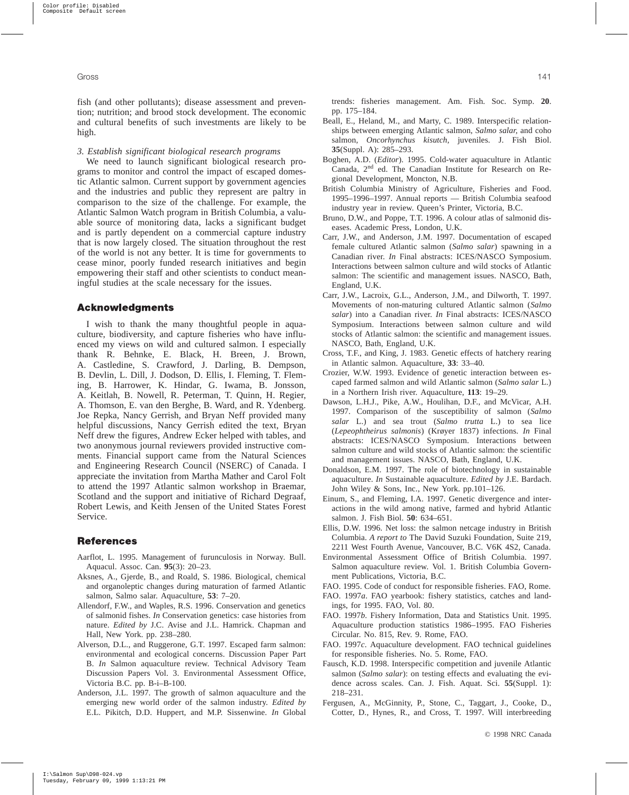fish (and other pollutants); disease assessment and prevention; nutrition; and brood stock development. The economic and cultural benefits of such investments are likely to be high.

#### *3. Establish significant biological research programs*

We need to launch significant biological research programs to monitor and control the impact of escaped domestic Atlantic salmon. Current support by government agencies and the industries and public they represent are paltry in comparison to the size of the challenge. For example, the Atlantic Salmon Watch program in British Columbia, a valuable source of monitoring data, lacks a significant budget and is partly dependent on a commercial capture industry that is now largely closed. The situation throughout the rest of the world is not any better. It is time for governments to cease minor, poorly funded research initiatives and begin empowering their staff and other scientists to conduct meaningful studies at the scale necessary for the issues.

## **Acknowledgments**

I wish to thank the many thoughtful people in aquaculture, biodiversity, and capture fisheries who have influenced my views on wild and cultured salmon. I especially thank R. Behnke, E. Black, H. Breen, J. Brown, A. Castledine, S. Crawford, J. Darling, B. Dempson, B. Devlin, L. Dill, J. Dodson, D. Ellis, I. Fleming, T. Fleming, B. Harrower, K. Hindar, G. Iwama, B. Jonsson, A. Keitlah, B. Nowell, R. Peterman, T. Quinn, H. Regier, A. Thomson, E. van den Berghe, B. Ward, and R. Ydenberg. Joe Repka, Nancy Gerrish, and Bryan Neff provided many helpful discussions, Nancy Gerrish edited the text, Bryan Neff drew the figures, Andrew Ecker helped with tables, and two anonymous journal reviewers provided instructive comments. Financial support came from the Natural Sciences and Engineering Research Council (NSERC) of Canada. I appreciate the invitation from Martha Mather and Carol Folt to attend the 1997 Atlantic salmon workshop in Braemar, Scotland and the support and initiative of Richard Degraaf, Robert Lewis, and Keith Jensen of the United States Forest Service.

# **References**

- Aarflot, L. 1995. Management of furunculosis in Norway. Bull. Aquacul. Assoc. Can. **95**(3): 20–23.
- Aksnes, A., Gjerde, B., and Roald, S. 1986. Biological, chemical and organoleptic changes during maturation of farmed Atlantic salmon, Salmo salar. Aquaculture, **53**: 7–20.
- Allendorf, F.W., and Waples, R.S. 1996. Conservation and genetics of salmonid fishes. *In* Conservation genetics: case histories from nature. *Edited by* J.C. Avise and J.L. Hamrick. Chapman and Hall, New York. pp. 238–280.
- Alverson, D.L., and Ruggerone, G.T. 1997. Escaped farm salmon: environmental and ecological concerns. Discussion Paper Part B. *In* Salmon aquaculture review. Technical Advisory Team Discussion Papers Vol. 3. Environmental Assessment Office, Victoria B.C. pp. B-i–B-100.
- Anderson, J.L. 1997. The growth of salmon aquaculture and the emerging new world order of the salmon industry. *Edited by* E.L. Pikitch, D.D. Huppert, and M.P. Sissenwine. *In* Global

trends: fisheries management. Am. Fish. Soc. Symp. **20**. pp. 175–184.

- Beall, E., Heland, M., and Marty, C. 1989. Interspecific relationships between emerging Atlantic salmon, *Salmo salar*, and coho salmon, *Oncorhynchus kisutch*, juveniles. J. Fish Biol. **35**(Suppl. A): 285–293.
- Boghen, A.D. (*Editor*). 1995. Cold-water aquaculture in Atlantic Canada, 2nd ed. The Canadian Institute for Research on Regional Development, Moncton, N.B.
- British Columbia Ministry of Agriculture, Fisheries and Food. 1995–1996–1997. Annual reports — British Columbia seafood industry year in review. Queen's Printer, Victoria, B.C.
- Bruno, D.W., and Poppe, T.T. 1996. A colour atlas of salmonid diseases. Academic Press, London, U.K.
- Carr, J.W., and Anderson, J.M. 1997. Documentation of escaped female cultured Atlantic salmon (*Salmo salar*) spawning in a Canadian river. *In* Final abstracts: ICES/NASCO Symposium. Interactions between salmon culture and wild stocks of Atlantic salmon: The scientific and management issues. NASCO, Bath, England, U.K.
- Carr, J.W., Lacroix, G.L., Anderson, J.M., and Dilworth, T. 1997. Movements of non-maturing cultured Atlantic salmon (*Salmo salar*) into a Canadian river. *In* Final abstracts: ICES/NASCO Symposium. Interactions between salmon culture and wild stocks of Atlantic salmon: the scientific and management issues. NASCO, Bath, England, U.K.
- Cross, T.F., and King, J. 1983. Genetic effects of hatchery rearing in Atlantic salmon. Aquaculture, **33**: 33–40.
- Crozier, W.W. 1993. Evidence of genetic interaction between escaped farmed salmon and wild Atlantic salmon (*Salmo salar* L.) in a Northern Irish river. Aquaculture, **113**: 19–29.
- Dawson, L.H.J., Pike, A.W., Houlihan, D.F., and McVicar, A.H. 1997. Comparison of the susceptibility of salmon (*Salmo salar* L.) and sea trout (*Salmo trutta* L.) to sea lice (*Lepeophtheirus salmonis*) (Krøyer 1837) infections. *In* Final abstracts: ICES/NASCO Symposium. Interactions between salmon culture and wild stocks of Atlantic salmon: the scientific and management issues. NASCO, Bath, England, U.K.
- Donaldson, E.M. 1997. The role of biotechnology in sustainable aquaculture. *In* Sustainable aquaculture. *Edited by* J.E. Bardach. John Wiley & Sons, Inc., New York. pp.101–126.
- Einum, S., and Fleming, I.A. 1997. Genetic divergence and interactions in the wild among native, farmed and hybrid Atlantic salmon. J. Fish Biol. **50**: 634–651.
- Ellis, D.W. 1996. Net loss: the salmon netcage industry in British Columbia. *A report to* The David Suzuki Foundation, Suite 219, 2211 West Fourth Avenue, Vancouver, B.C. V6K 4S2, Canada.
- Environmental Assessment Office of British Columbia. 1997. Salmon aquaculture review. Vol. 1. British Columbia Government Publications, Victoria, B.C.
- FAO. 1995. Code of conduct for responsible fisheries. FAO, Rome.
- FAO. 1997*a*. FAO yearbook: fishery statistics, catches and landings, for 1995. FAO, Vol. 80.
- FAO. 1997*b*. Fishery Information, Data and Statistics Unit. 1995. Aquaculture production statistics 1986–1995. FAO Fisheries Circular. No. 815, Rev. 9. Rome, FAO.
- FAO. 1997*c*. Aquaculture development. FAO technical guidelines for responsible fisheries. No. 5. Rome, FAO.
- Fausch, K.D. 1998. Interspecific competition and juvenile Atlantic salmon (*Salmo salar*): on testing effects and evaluating the evidence across scales. Can. J. Fish. Aquat. Sci. **55**(Suppl. 1): 218–231.
- Fergusen, A., McGinnity, P., Stone, C., Taggart, J., Cooke, D., Cotter, D., Hynes, R., and Cross, T. 1997. Will interbreeding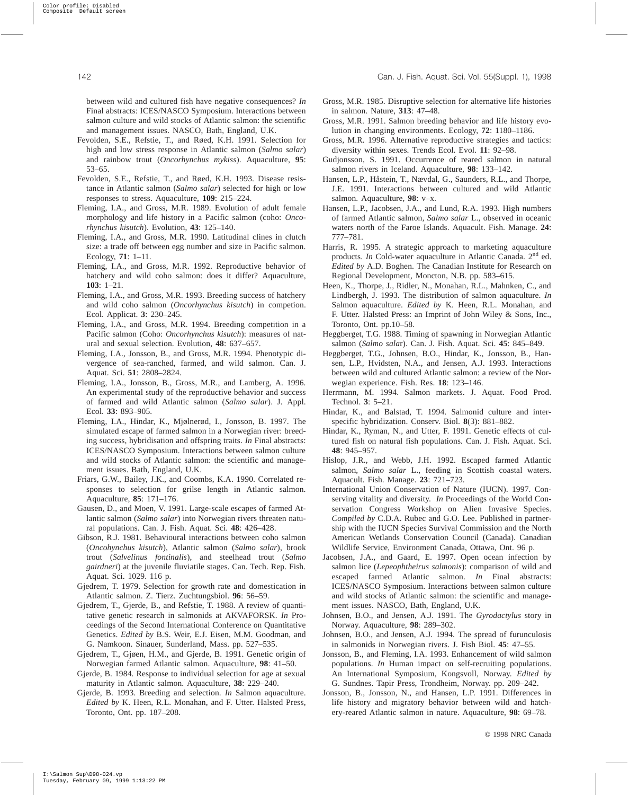between wild and cultured fish have negative consequences? *In* Final abstracts: ICES/NASCO Symposium. Interactions between salmon culture and wild stocks of Atlantic salmon: the scientific and management issues. NASCO, Bath, England, U.K.

- Fevolden, S.E., Refstie, T., and Røed, K.H. 1991. Selection for high and low stress response in Atlantic salmon (*Salmo salar*) and rainbow trout (*Oncorhynchus mykiss*). Aquaculture, **95**: 53–65.
- Fevolden, S.E., Refstie, T., and Røed, K.H. 1993. Disease resistance in Atlantic salmon (*Salmo salar*) selected for high or low responses to stress. Aquaculture, **109**: 215–224.
- Fleming, I.A., and Gross, M.R. 1989. Evolution of adult female morphology and life history in a Pacific salmon (coho: *Oncorhynchus kisutch*). Evolution, **43**: 125–140.
- Fleming, I.A., and Gross, M.R. 1990. Latitudinal clines in clutch size: a trade off between egg number and size in Pacific salmon. Ecology, **71**: 1–11.
- Fleming, I.A., and Gross, M.R. 1992. Reproductive behavior of hatchery and wild coho salmon: does it differ? Aquaculture, **103**: 1–21.
- Fleming, I.A., and Gross, M.R. 1993. Breeding success of hatchery and wild coho salmon (*Oncorhynchus kisutch*) in competion. Ecol. Applicat. **3**: 230–245.
- Fleming, I.A., and Gross, M.R. 1994. Breeding competition in a Pacific salmon (Coho: *Oncorhynchus kisutch*): measures of natural and sexual selection. Evolution, **48**: 637–657.
- Fleming, I.A., Jonsson, B., and Gross, M.R. 1994. Phenotypic divergence of sea-ranched, farmed, and wild salmon. Can. J. Aquat. Sci. **51**: 2808–2824.
- Fleming, I.A., Jonsson, B., Gross, M.R., and Lamberg, A. 1996. An experimental study of the reproductive behavior and success of farmed and wild Atlantic salmon (*Salmo salar*). J. Appl. Ecol. **33**: 893–905.
- Fleming, I.A., Hindar, K., Mjølnerød, I., Jonsson, B. 1997. The simulated escape of farmed salmon in a Norwegian river: breeding success, hybridisation and offspring traits. *In* Final abstracts: ICES/NASCO Symposium. Interactions between salmon culture and wild stocks of Atlantic salmon: the scientific and management issues. Bath, England, U.K.
- Friars, G.W., Bailey, J.K., and Coombs, K.A. 1990. Correlated responses to selection for grilse length in Atlantic salmon. Aquaculture, **85**: 171–176.
- Gausen, D., and Moen, V. 1991. Large-scale escapes of farmed Atlantic salmon (*Salmo salar*) into Norwegian rivers threaten natural populations. Can. J. Fish. Aquat. Sci. **48**: 426–428.
- Gibson, R.J. 1981. Behavioural interactions between coho salmon (*Oncohynchus kisutch*), Atlantic salmon (*Salmo salar*), brook trout (*Salvelinus fontinalis*), and steelhead trout (*Salmo gairdneri*) at the juvenile fluviatile stages. Can. Tech. Rep. Fish. Aquat. Sci. 1029. 116 p.
- Gjedrem, T. 1979. Selection for growth rate and domestication in Atlantic salmon. Z. Tierz. Zuchtungsbiol. **96**: 56–59.
- Gjedrem, T., Gjerde, B., and Refstie, T. 1988. A review of quantitative genetic research in salmonids at AKVAFORSK. *In* Proceedings of the Second International Conference on Quantitative Genetics. *Edited by* B.S. Weir, E.J. Eisen, M.M. Goodman, and G. Namkoon. Sinauer, Sunderland, Mass. pp. 527–535.
- Gjedrem, T., Gjøen, H.M., and Gjerde, B. 1991. Genetic origin of Norwegian farmed Atlantic salmon. Aquaculture, **98**: 41–50.
- Gjerde, B. 1984. Response to individual selection for age at sexual maturity in Atlantic salmon. Aquaculture, **38**: 229–240.
- Gjerde, B. 1993. Breeding and selection. *In* Salmon aquaculture. *Edited by* K. Heen, R.L. Monahan, and F. Utter. Halsted Press, Toronto, Ont. pp. 187–208.
- Gross, M.R. 1985. Disruptive selection for alternative life histories in salmon. Nature, **313**: 47–48.
- Gross, M.R. 1991. Salmon breeding behavior and life history evolution in changing environments. Ecology, **72**: 1180–1186.
- Gross, M.R. 1996. Alternative reproductive strategies and tactics: diversity within sexes. Trends Ecol. Evol. **11**: 92–98.
- Gudjonsson, S. 1991. Occurrence of reared salmon in natural salmon rivers in Iceland. Aquaculture, **98**: 133–142.
- Hansen, L.P., Håstein, T., Nævdal, G., Saunders, R.L., and Thorpe, J.E. 1991. Interactions between cultured and wild Atlantic salmon. Aquaculture, **98**: v–x.
- Hansen, L.P., Jacobsen, J.A., and Lund, R.A. 1993. High numbers of farmed Atlantic salmon, *Salmo salar* L., observed in oceanic waters north of the Faroe Islands. Aquacult. Fish. Manage. **24**: 777–781.
- Harris, R. 1995. A strategic approach to marketing aquaculture products. *In* Cold-water aquaculture in Atlantic Canada. 2nd ed. *Edited by* A.D. Boghen. The Canadian Institute for Research on Regional Development, Moncton, N.B. pp. 583–615.
- Heen, K., Thorpe, J., Ridler, N., Monahan, R.L., Mahnken, C., and Lindbergh, J. 1993. The distribution of salmon aquaculture. *In* Salmon aquaculture. *Edited by* K. Heen, R.L. Monahan, and F. Utter. Halsted Press: an Imprint of John Wiley & Sons, Inc., Toronto, Ont. pp.10–58.
- Heggberget, T.G. 1988. Timing of spawning in Norwegian Atlantic salmon (*Salmo sala*r). Can. J. Fish. Aquat. Sci. **45**: 845–849.
- Heggberget, T.G., Johnsen, B.O., Hindar, K., Jonsson, B., Hansen, L.P., Hvidsten, N.A., and Jensen, A.J. 1993. Interactions between wild and cultured Atlantic salmon: a review of the Norwegian experience. Fish. Res. **18**: 123–146.
- Herrmann, M. 1994. Salmon markets. J. Aquat. Food Prod. Technol. **3**: 5–21.
- Hindar, K., and Balstad, T. 1994. Salmonid culture and interspecific hybridization. Conserv. Biol. **8**(3): 881–882.
- Hindar, K., Ryman, N., and Utter, F. 1991. Genetic effects of cultured fish on natural fish populations. Can. J. Fish. Aquat. Sci. **48**: 945–957.
- Hislop, J.R., and Webb, J.H. 1992. Escaped farmed Atlantic salmon, *Salmo salar* L., feeding in Scottish coastal waters. Aquacult. Fish. Manage. **23**: 721–723.
- International Union Conservation of Nature (IUCN). 1997. Conserving vitality and diversity. *In* Proceedings of the World Conservation Congress Workshop on Alien Invasive Species. *Compiled by* C.D.A. Rubec and G.O. Lee. Published in partnership with the IUCN Species Survival Commission and the North American Wetlands Conservation Council (Canada). Canadian Wildlife Service, Environment Canada, Ottawa, Ont. 96 p.
- Jacobsen, J.A., and Gaard, E. 1997. Open ocean infection by salmon lice (*Lepeophtheirus salmonis*): comparison of wild and escaped farmed Atlantic salmon. *In* Final abstracts: ICES/NASCO Symposium. Interactions between salmon culture and wild stocks of Atlantic salmon: the scientific and management issues. NASCO, Bath, England, U.K.
- Johnsen, B.O., and Jensen, A.J. 1991. The *Gyrodactylus* story in Norway. Aquaculture, **98**: 289–302.
- Johnsen, B.O., and Jensen, A.J. 1994. The spread of furunculosis in salmonids in Norwegian rivers. J. Fish Biol. **45**: 47–55.
- Jonsson, B., and Fleming, I.A. 1993. Enhancement of wild salmon populations. *In* Human impact on self-recruiting populations. An International Symposium, Kongsvoll, Norway. *Edited by* G. Sundnes. Tapir Press, Trondheim, Norway. pp. 209–242.
- Jonsson, B., Jonsson, N., and Hansen, L.P. 1991. Differences in life history and migratory behavior between wild and hatchery-reared Atlantic salmon in nature. Aquaculture, **98**: 69–78.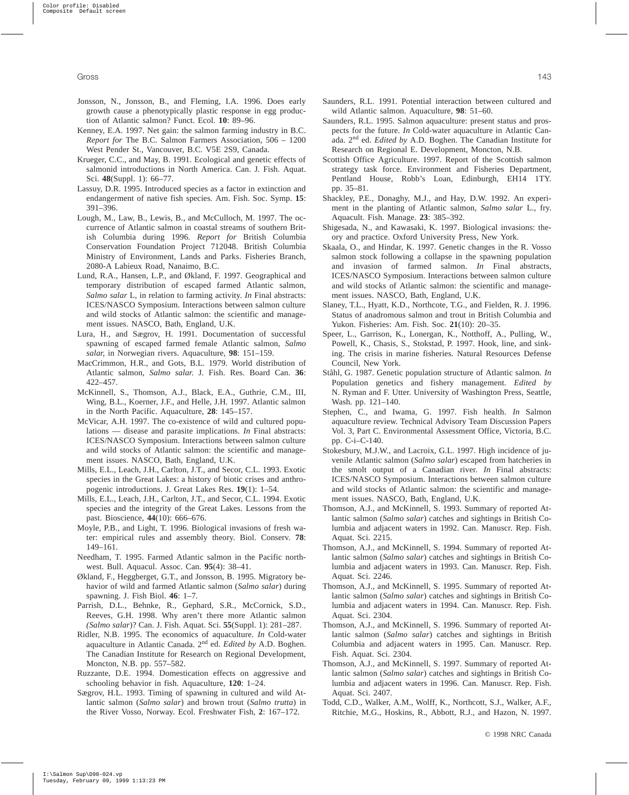- Jonsson, N., Jonsson, B., and Fleming, I.A. 1996. Does early growth cause a phenotypically plastic response in egg production of Atlantic salmon? Funct. Ecol. **10**: 89–96.
- Kenney, E.A. 1997. Net gain: the salmon farming industry in B.C. *Report for* The B.C. Salmon Farmers Association, 506 – 1200 West Pender St., Vancouver, B.C. V5E 2S9, Canada.
- Krueger, C.C., and May, B. 1991. Ecological and genetic effects of salmonid introductions in North America. Can. J. Fish. Aquat. Sci. **48**(Suppl. 1): 66–77.
- Lassuy, D.R. 1995. Introduced species as a factor in extinction and endangerment of native fish species. Am. Fish. Soc. Symp. **15**: 391–396.
- Lough, M., Law, B., Lewis, B., and McCulloch, M. 1997. The occurrence of Atlantic salmon in coastal streams of southern British Columbia during 1996. *Report for* British Columbia Conservation Foundation Project 712048. British Columbia Ministry of Environment, Lands and Parks. Fisheries Branch, 2080-A Labieux Road, Nanaimo, B.C.
- Lund, R.A., Hansen, L.P., and Økland, F. 1997. Geographical and temporary distribution of escaped farmed Atlantic salmon, *Salmo salar* L, in relation to farming activity. *In* Final abstracts: ICES/NASCO Symposium. Interactions between salmon culture and wild stocks of Atlantic salmon: the scientific and management issues. NASCO, Bath, England, U.K.
- Lura, H., and Sægrov, H. 1991. Documentation of successful spawning of escaped farmed female Atlantic salmon, *Salmo salar*, in Norwegian rivers. Aquaculture, **98**: 151–159.
- MacCrimmon, H.R., and Gots, B.L. 1979. World distribution of Atlantic salmon, *Salmo salar*. J. Fish. Res. Board Can. **36**: 422–457.
- McKinnell, S., Thomson, A.J., Black, E.A., Guthrie, C.M., III, Wing, B.L., Koerner, J.F., and Helle, J.H. 1997. Atlantic salmon in the North Pacific. Aquaculture, **28**: 145–157.
- McVicar, A.H. 1997. The co-existence of wild and cultured populations — disease and parasite implications. *In* Final abstracts: ICES/NASCO Symposium. Interactions between salmon culture and wild stocks of Atlantic salmon: the scientific and management issues. NASCO, Bath, England, U.K.
- Mills, E.L., Leach, J.H., Carlton, J.T., and Secor, C.L. 1993. Exotic species in the Great Lakes: a history of biotic crises and anthropogenic introductions. J. Great Lakes Res. **19**(1): 1–54.
- Mills, E.L., Leach, J.H., Carlton, J.T., and Secor, C.L. 1994. Exotic species and the integrity of the Great Lakes. Lessons from the past. Bioscience, **44**(10): 666–676.
- Moyle, P.B., and Light, T. 1996. Biological invasions of fresh water: empirical rules and assembly theory. Biol. Conserv. **78**: 149–161.
- Needham, T. 1995. Farmed Atlantic salmon in the Pacific northwest. Bull. Aquacul. Assoc. Can. **95**(4): 38–41.
- Økland, F., Heggberget, G.T., and Jonsson, B. 1995. Migratory behavior of wild and farmed Atlantic salmon (*Salmo salar*) during spawning. J. Fish Biol. **46**: 1–7.
- Parrish, D.L., Behnke, R., Gephard, S.R., McCornick, S.D., Reeves, G.H. 1998. Why aren't there more Atlantic salmon *(Salmo salar*)? Can. J. Fish. Aquat. Sci. **55**(Suppl. 1): 281–287.
- Ridler, N.B. 1995. The economics of aquaculture. *In* Cold-water aquaculture in Atlantic Canada. 2nd ed. *Edited by* A.D. Boghen. The Canadian Institute for Research on Regional Development, Moncton, N.B. pp. 557–582.
- Ruzzante, D.E. 1994. Domestication effects on aggressive and schooling behavior in fish. Aquaculture, **120**: 1–24.
- Sægrov, H.L. 1993. Timing of spawning in cultured and wild Atlantic salmon (*Salmo salar*) and brown trout (*Salmo trutta*) in the River Vosso, Norway. Ecol. Freshwater Fish, **2**: 167–172.
- Saunders, R.L. 1991. Potential interaction between cultured and wild Atlantic salmon. Aquaculture, **98**: 51–60.
- Saunders, R.L. 1995. Salmon aquaculture: present status and prospects for the future. *In* Cold-water aquaculture in Atlantic Canada. 2nd ed. *Edited by* A.D. Boghen. The Canadian Institute for Research on Regional E. Development, Moncton, N.B.
- Scottish Office Agriculture. 1997. Report of the Scottish salmon strategy task force. Environment and Fisheries Department, Pentland House, Robb's Loan, Edinburgh, EH14 1TY. pp. 35–81.
- Shackley, P.E., Donaghy, M.J., and Hay, D.W. 1992. An experiment in the planting of Atlantic salmon, *Salmo salar* L., fry. Aquacult. Fish. Manage. **23**: 385–392.
- Shigesada, N., and Kawasaki, K. 1997. Biological invasions: theory and practice. Oxford University Press, New York.
- Skaala, O., and Hindar, K. 1997. Genetic changes in the R. Vosso salmon stock following a collapse in the spawning population and invasion of farmed salmon. *In* Final abstracts, ICES/NASCO Symposium. Interactions between salmon culture and wild stocks of Atlantic salmon: the scientific and management issues. NASCO, Bath, England, U.K.
- Slaney, T.L., Hyatt, K.D., Northcote, T.G., and Fielden, R. J. 1996. Status of anadromous salmon and trout in British Columbia and Yukon. Fisheries: Am. Fish. Soc. **21**(10): 20–35.
- Speer, L., Garrison, K., Lonergan, K., Notthoff, A., Pulling, W., Powell, K., Chasis, S., Stokstad, P. 1997. Hook, line, and sinking. The crisis in marine fisheries. Natural Resources Defense Council, New York.
- Ståhl, G. 1987. Genetic population structure of Atlantic salmon. *In* Population genetics and fishery management. *Edited by* N. Ryman and F. Utter. University of Washington Press, Seattle, Wash. pp. 121–140.
- Stephen, C., and Iwama, G. 1997. Fish health. *In* Salmon aquaculture review. Technical Advisory Team Discussion Papers Vol. 3, Part C. Environmental Assessment Office, Victoria, B.C. pp. C-i–C-140.
- Stokesbury, M.J.W., and Lacroix, G.L. 1997. High incidence of juvenile Atlantic salmon (*Salmo salar*) escaped from hatcheries in the smolt output of a Canadian river. *In* Final abstracts: ICES/NASCO Symposium. Interactions between salmon culture and wild stocks of Atlantic salmon: the scientific and management issues. NASCO, Bath, England, U.K.
- Thomson, A.J., and McKinnell, S. 1993. Summary of reported Atlantic salmon (*Salmo salar*) catches and sightings in British Columbia and adjacent waters in 1992. Can. Manuscr. Rep. Fish. Aquat. Sci. 2215.
- Thomson, A.J., and McKinnell, S. 1994. Summary of reported Atlantic salmon (*Salmo salar*) catches and sightings in British Columbia and adjacent waters in 1993. Can. Manuscr. Rep. Fish. Aquat. Sci. 2246.
- Thomson, A.J., and McKinnell, S. 1995. Summary of reported Atlantic salmon (*Salmo salar*) catches and sightings in British Columbia and adjacent waters in 1994. Can. Manuscr. Rep. Fish. Aquat. Sci. 2304.
- Thomson, A.J., and McKinnell, S. 1996. Summary of reported Atlantic salmon (*Salmo salar*) catches and sightings in British Columbia and adjacent waters in 1995. Can. Manuscr. Rep. Fish. Aquat. Sci. 2304.
- Thomson, A.J., and McKinnell, S. 1997. Summary of reported Atlantic salmon (*Salmo salar*) catches and sightings in British Columbia and adjacent waters in 1996. Can. Manuscr. Rep. Fish. Aquat. Sci. 2407.
- Todd, C.D., Walker, A.M., Wolff, K., Northcott, S.J., Walker, A.F., Ritchie, M.G., Hoskins, R., Abbott, R.J., and Hazon, N. 1997.